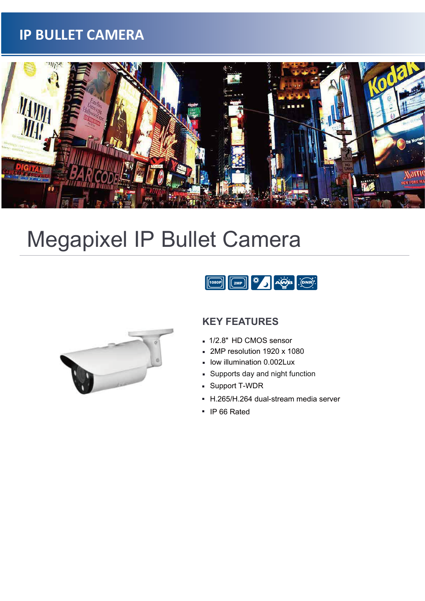## **IP BULLET CAMERA**



# Megapixel IP Bullet Camera





#### **KEY FEATURES**

- 1/2.8" HD CMOS sensor
- 2MP resolution 1920 x 1080
- low illumination 0.002Lux
- Supports day and night function  $\blacksquare$
- Support T-WDR  $\blacksquare$
- H.265/H.264 dual-stream media server
- **IP 66 Rated**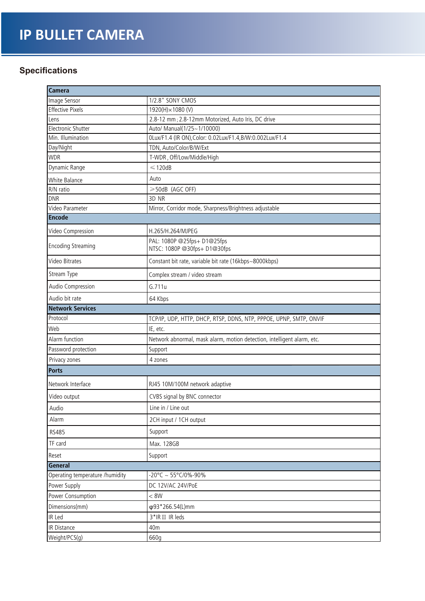# **IP BULLET CAMERA**

#### **Specifications**

| <b>Camera</b>                   |                                                                         |  |  |  |
|---------------------------------|-------------------------------------------------------------------------|--|--|--|
| Image Sensor                    | 1/2.8" SONY CMOS                                                        |  |  |  |
| <b>Effective Pixels</b>         | 1920(H)×1080(V)                                                         |  |  |  |
| Lens                            | 2.8-12 mm; 2.8-12mm Motorized, Auto Iris, DC drive                      |  |  |  |
| <b>Electronic Shutter</b>       | Auto/ Manual(1/25~1/10000)                                              |  |  |  |
| Min. Illumination               | 0Lux/F1.4 (IR ON), Color: 0.02Lux/F1.4, B/W:0.002Lux/F1.4               |  |  |  |
| Day/Night                       | TDN, Auto/Color/B/W/Ext                                                 |  |  |  |
| <b>WDR</b>                      | T-WDR, Off/Low/Middle/High                                              |  |  |  |
| Dynamic Range                   | $\leqslant$ 120dB                                                       |  |  |  |
| White Balance                   | Auto                                                                    |  |  |  |
| R/N ratio                       | ≥50dB (AGC OFF)                                                         |  |  |  |
| <b>DNR</b>                      | 3D NR                                                                   |  |  |  |
| Video Parameter                 | Mirror, Corridor mode, Sharpness/Brightness adjustable                  |  |  |  |
| <b>Encode</b>                   |                                                                         |  |  |  |
| Video Compression               | H.265/H.264/MJPEG                                                       |  |  |  |
| <b>Encoding Streaming</b>       | PAL: 1080P @25fps+ D1@25fps<br>NTSC: 1080P @30fps+ D1@30fps             |  |  |  |
| Video Bitrates                  | Constant bit rate, variable bit rate (16kbps~8000kbps)                  |  |  |  |
| Stream Type                     | Complex stream / video stream                                           |  |  |  |
| Audio Compression               | G.711u                                                                  |  |  |  |
| Audio bit rate                  | 64 Kbps                                                                 |  |  |  |
| <b>Network Services</b>         |                                                                         |  |  |  |
| Protocol                        | TCP/IP, UDP, HTTP, DHCP, RTSP, DDNS, NTP, PPPOE, UPNP, SMTP, ONVIF      |  |  |  |
| Web                             | IE, etc.                                                                |  |  |  |
| Alarm function                  | Network abnormal, mask alarm, motion detection, intelligent alarm, etc. |  |  |  |
| Password protection             | Support                                                                 |  |  |  |
| Privacy zones                   | 4 zones                                                                 |  |  |  |
| Ports                           |                                                                         |  |  |  |
| Network Interface               | RJ45 10M/100M network adaptive                                          |  |  |  |
| Video output                    | CVBS signal by BNC connector                                            |  |  |  |
| Audio                           | Line in / Line out                                                      |  |  |  |
| Alarm                           | 2CH input / 1CH output                                                  |  |  |  |
| RS485                           | Support                                                                 |  |  |  |
| TF card                         | Max. 128GB                                                              |  |  |  |
| Reset                           | Support                                                                 |  |  |  |
| General                         |                                                                         |  |  |  |
| Operating temperature /humidity | $-20^{\circ}$ C ~ 55°C/0%-90%                                           |  |  |  |
| Power Supply                    | DC 12V/AC 24V/PoE                                                       |  |  |  |
| Power Consumption               | < 8W                                                                    |  |  |  |
| Dimensions(mm)                  | φ93*266.54(L)mm                                                         |  |  |  |
| IR Led                          | 3*IR III IR leds                                                        |  |  |  |
| IR Distance                     | 40m                                                                     |  |  |  |
| Weight/PCS(g)                   | 660g                                                                    |  |  |  |